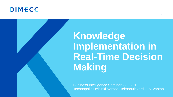



Business Intelligence Seminar 22.9.2016 Technopolis Helsinki-Vantaa, Teknobulevardi 3-5, Vantaa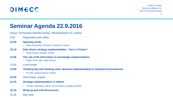

DIMECC S4Fleet Business Intelligence for Real-Time Decision Making 2

### **Seminar Agenda 22.9.2016**

Venue: Technopolis Helsinki-Vantaa, Teknobulevardi 3-5, Vantaa

- 9:30 Registration and coffee
- **10:00 Opening words** 
	- Marko Kohtamäki, Professor, University of Vaasa
- **10:10 Data driven strategy implementation - Fact or Fiction?** 
	- Perttu Paarma, Deloitte, Partner
- **11:00 The role of BI-information in knowledge implementation**
	- Petteri Ormio, Qlik, Sales Director
- 12:00 Lunch break
- **13:00 Thinking fast and thinking slow: decision implementation in turbulent environments**
	- Pia Kåll, Capman Buyout, Partner
- **14:00** Short break, snacks
- **14:15 Strategy implementation in Valmet**
	- Christer Schönberg, Valmet, Vice President, Strategy and M&A
- **15:15 Wrap-up and end discussions**
- 15:30 Day ends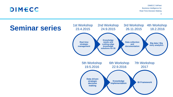## DIMECC

# **Seminar series**

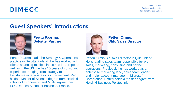

DIMECC S4Fleet Business Intelligence for Real-Time Decision Making 4

### **Guest Speakers' Introductions**



**Perttu Paarma, Deloitte, Partner**

Perttu Paarma leads the Strategy & Operations practice in Deloitte Finland. He has worked with clients spanning multiple industries in Europe as well as in the US. He has 15 years of consulting experience, ranging from strategy to transformational operations improvement. Perttu holds a Master of Science degree from Helsinki school of Economics, and MBA degree from ESC Rennes School of Business, France.



**Petteri Ormio, Qlik, Sales Director**

Petteri Ormio is a sales director in Qlik Finland. He is leading sales team responsible for presales, marketing, consulting and partner operations. Previously he has worked as an enterprise marketing lead, sales team leader, and major account manager in Microsoft Corporation. Petteri holds a master degree from Helsinki Business Polytechnic.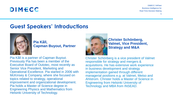## DIMECC

DIMECC S4Fleet Business Intelligence for Real-Time Decision Making 5

### **Guest Speakers' Introductions**



**Pia Kåll, Capman Buyout, Partner**

Pia Kåll is a partner of Capman Buyout. Previously Pia has been a member of the Executive Board of Outotec, most recently as Senior Vice President, Marketing and Operational Excellence. Pia started in 2006 with McKinsey & Company, where she focused on topics related to strategy, operational improvement and organizational development. Pia holds a Master of Science degree in Engineering Physics and Mathematics from Helsinki University of Technology.



#### **Christer Schönberg, Valmet, Vice President, Strategy and M&A**

Christer Schönberg is a vice president of Valmet responsible for strategy and mergers & acquisitions. He has extensive work experience in business development and strategy implementation gained through different managerial positions e.g. at Valmet, Metso and Ahlstrom. Christer holds a Master of Science in Engineering from Helsinki University of Technology and MBA from INSEAD.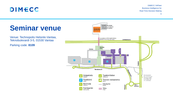

DIMECC S4Fleet Business Intelligence for Real-Time Decision Making

# **Seminar venue**

Venue: Technopolis Helsinki-Vantaa, Teknobulevardi 3-5, 01530 Vantaa

Parking code: **8109**